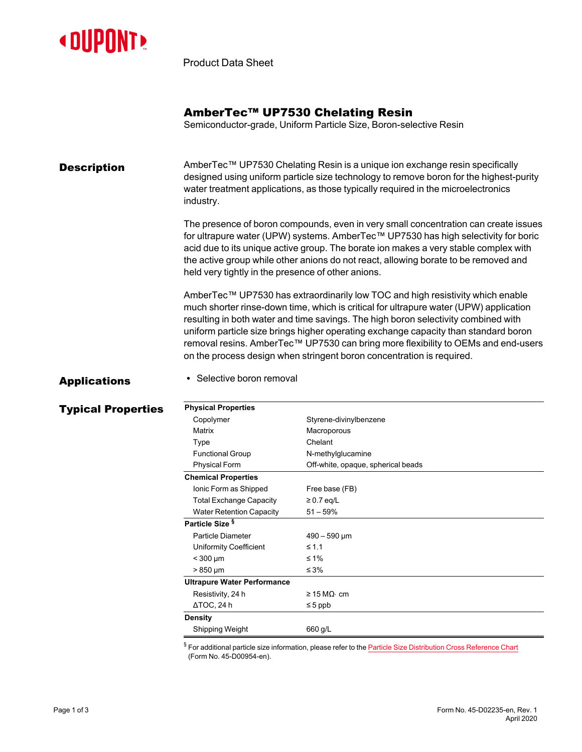

Product Data Sheet

# AmberTec™ UP7530 Chelating Resin

Semiconductor-grade, Uniform Particle Size, Boron-selective Resin

#### **Description** AmberTec™ UP7530 Chelating Resin is a unique ion exchange resin specifically designed using uniform particle size technology to remove boron for the highest-purity water treatment applications, as those typically required in the microelectronics industry.

The presence of boron compounds, even in very small concentration can create issues for ultrapure water (UPW) systems. AmberTec™ UP7530 has high selectivity for boric acid due to its unique active group. The borate ion makes a very stable complex with the active group while other anions do not react, allowing borate to be removed and held very tightly in the presence of other anions.

AmberTec™ UP7530 has extraordinarily low TOC and high resistivity which enable much shorter rinse-down time, which is critical for ultrapure water (UPW) application resulting in both water and time savings. The high boron selectivity combined with uniform particle size brings higher operating exchange capacity than standard boron removal resins. AmberTec™ UP7530 can bring more flexibility to OEMs and end-users on the process design when stringent boron concentration is required.

# Applications . Selective boron removal

### Typical Properties **Physical Properties** Styrene-divinylbenzene Matrix Macroporous Type Chelant Functional Group N-methylglucamine Physical Form **Off-white, opaque, spherical beads Chemical Properties** Ionic Form as Shipped Free base (FB) Total Exchange Capacity ≥ 0.7 eq/L Water Retention Capacity 51 – 59% **Particle Size §** Particle Diameter 490 – 590 µm Uniformity Coefficient ≤ 1.1  $<$  300 µm ≤ 1%  $> 850 \mu m$  ≤ 3% **Ultrapure Water Performance** Resistivity, 24 h  $\geq 15 M\Omega \cdot \text{cm}$  $\triangle$ TOC, 24 h  $\leq$ 5 ppb**Density** Shipping Weight 660 g/L

 $§$  For additional particle size information, please refer to the Particle Size [Distribution](https://www.dupont.com/content/dam/dupont/amer/us/en/water-solutions/public/documents/en/45-D00954-en.pdf) Cross Reference Chart (Form No. 45-D00954-en).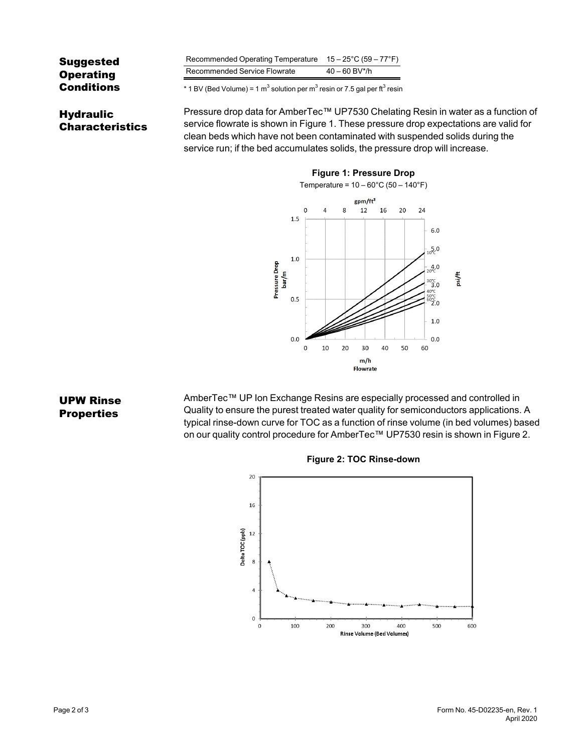| <b>Suggested</b><br><b>Operating</b><br><b>Conditions</b> | Recommended Operating Temperature $15-25^{\circ}$ C (59 – 77 <sup>°</sup> F)<br>Recommended Service Flowrate<br>$40 - 60$ BV*/h |  |
|-----------------------------------------------------------|---------------------------------------------------------------------------------------------------------------------------------|--|
|                                                           | * 1 BV (Bed Volume) = 1 m <sup>3</sup> solution per m <sup>3</sup> resin or 7.5 gal per ft <sup>3</sup> resin                   |  |
|                                                           | Pressure drop data for AmberTecTM UP7530 Chelating Ru                                                                           |  |

Hydraulic Characteristics

NmberTec™ UP7530 Chelating Resin in water as a function of service flowrate is shown in [Figure 1](#page-1-0). These pressure drop expectations are valid for clean beds which have not been contaminated with suspended solids during the service run; if the bed accumulates solids, the pressure drop will increase.

<span id="page-1-0"></span>

UPW Rinse **Properties** 

AmberTec™ UP Ion Exchange Resins are especially processed and controlled in Quality to ensure the purest treated water quality for semiconductors applications. A typical rinse-down curve for TOC as a function of rinse volume (in bed volumes) based on our quality control procedure for AmberTec™ UP7530 resin is shown in [Figure 2](#page-1-1).

<span id="page-1-1"></span>

#### **Figure 2: TOC Rinse-down**